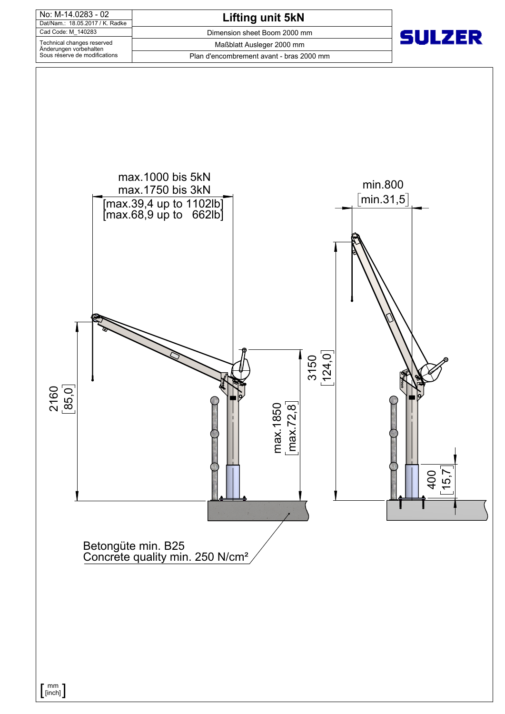

 $\left[ \begin{smallmatrix} \text{mm} \ \text{[inch]} \end{smallmatrix} \right]$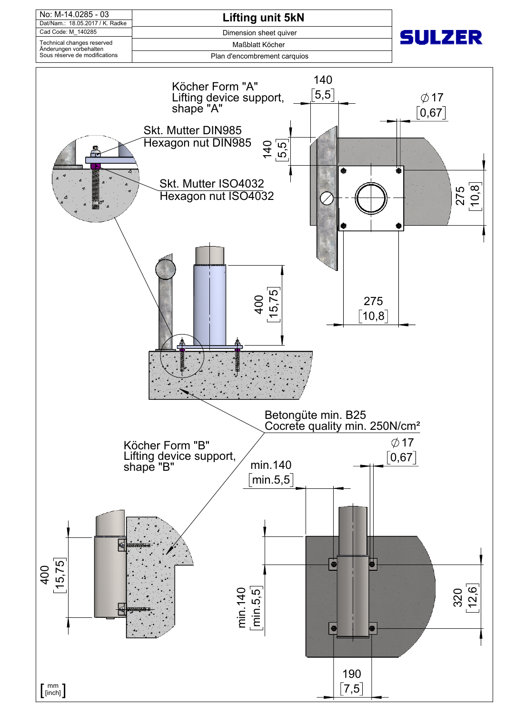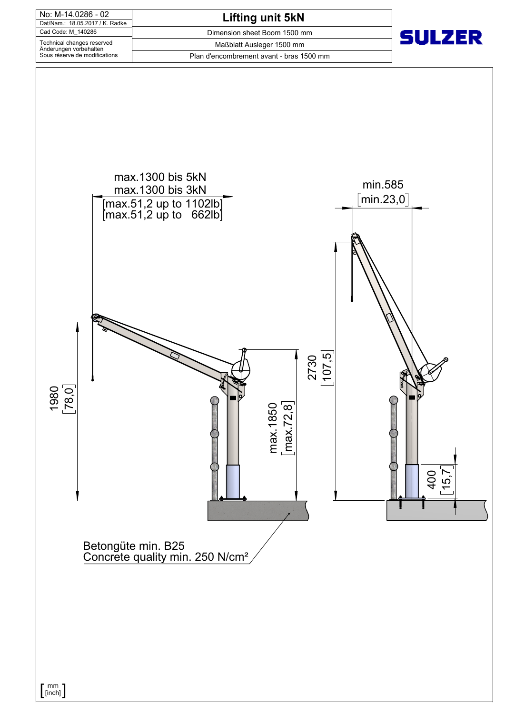

Betongüte min. B25 Concrete quality min. 250 N/cm<sup>2</sup>